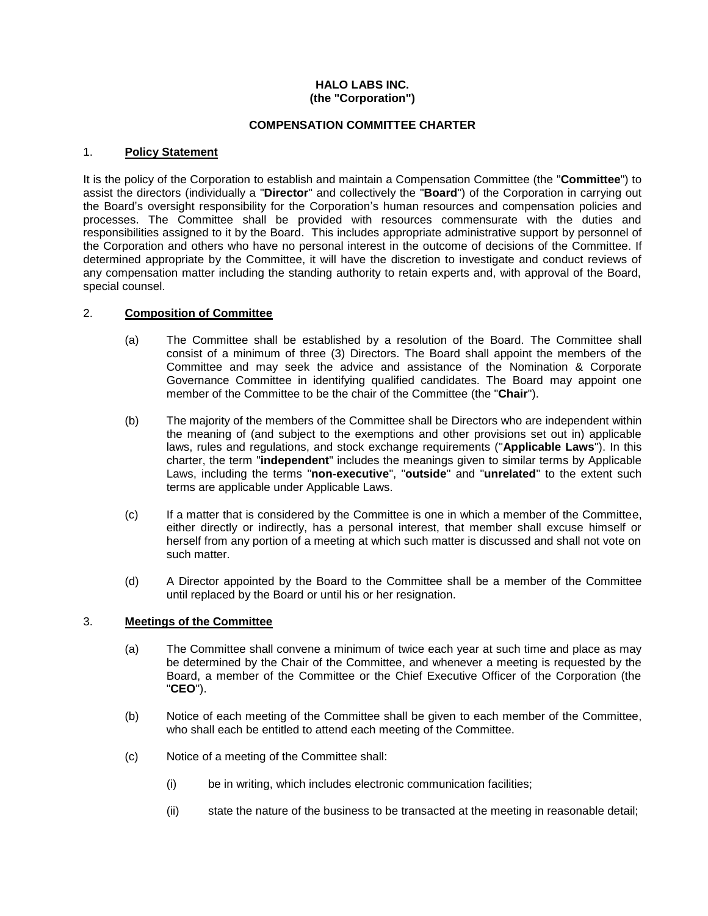# **HALO LABS INC. (the "Corporation")**

### **COMPENSATION COMMITTEE CHARTER**

# 1. **Policy Statement**

It is the policy of the Corporation to establish and maintain a Compensation Committee (the "**Committee**") to assist the directors (individually a "**Director**" and collectively the "**Board**") of the Corporation in carrying out the Board's oversight responsibility for the Corporation's human resources and compensation policies and processes. The Committee shall be provided with resources commensurate with the duties and responsibilities assigned to it by the Board. This includes appropriate administrative support by personnel of the Corporation and others who have no personal interest in the outcome of decisions of the Committee. If determined appropriate by the Committee, it will have the discretion to investigate and conduct reviews of any compensation matter including the standing authority to retain experts and, with approval of the Board, special counsel.

### 2. **Composition of Committee**

- (a) The Committee shall be established by a resolution of the Board. The Committee shall consist of a minimum of three (3) Directors. The Board shall appoint the members of the Committee and may seek the advice and assistance of the Nomination & Corporate Governance Committee in identifying qualified candidates. The Board may appoint one member of the Committee to be the chair of the Committee (the "**Chair**").
- (b) The majority of the members of the Committee shall be Directors who are independent within the meaning of (and subject to the exemptions and other provisions set out in) applicable laws, rules and regulations, and stock exchange requirements ("**Applicable Laws**"). In this charter, the term "**independent**" includes the meanings given to similar terms by Applicable Laws, including the terms "**non-executive**", "**outside**" and "**unrelated**" to the extent such terms are applicable under Applicable Laws.
- (c) If a matter that is considered by the Committee is one in which a member of the Committee, either directly or indirectly, has a personal interest, that member shall excuse himself or herself from any portion of a meeting at which such matter is discussed and shall not vote on such matter.
- (d) A Director appointed by the Board to the Committee shall be a member of the Committee until replaced by the Board or until his or her resignation.

### 3. **Meetings of the Committee**

- (a) The Committee shall convene a minimum of twice each year at such time and place as may be determined by the Chair of the Committee, and whenever a meeting is requested by the Board, a member of the Committee or the Chief Executive Officer of the Corporation (the "**CEO**").
- (b) Notice of each meeting of the Committee shall be given to each member of the Committee, who shall each be entitled to attend each meeting of the Committee.
- (c) Notice of a meeting of the Committee shall:
	- (i) be in writing, which includes electronic communication facilities;
	- (ii) state the nature of the business to be transacted at the meeting in reasonable detail;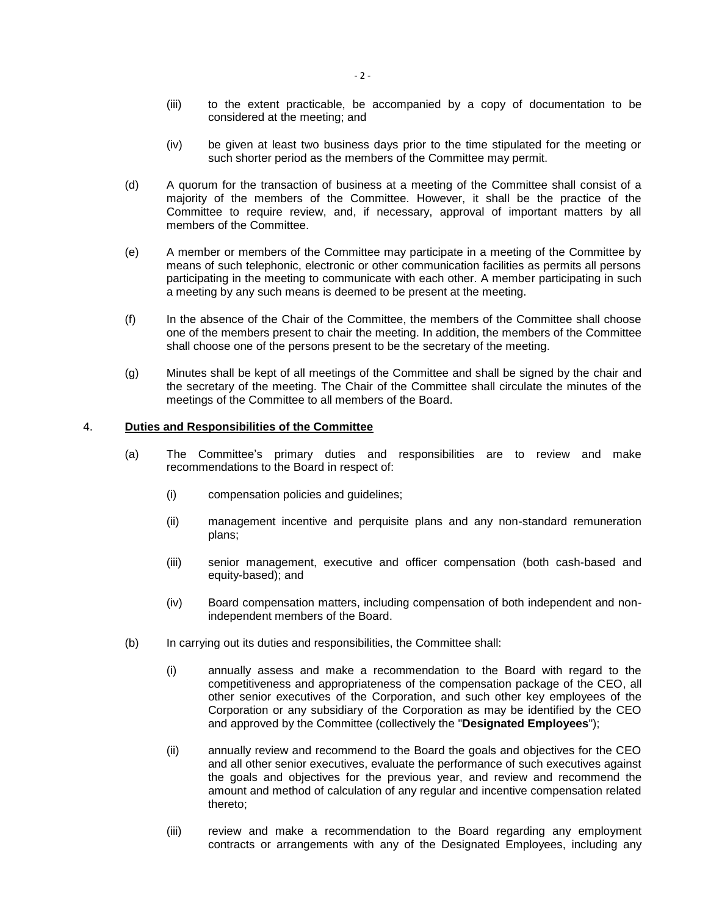- (iii) to the extent practicable, be accompanied by a copy of documentation to be considered at the meeting; and
- (iv) be given at least two business days prior to the time stipulated for the meeting or such shorter period as the members of the Committee may permit.
- (d) A quorum for the transaction of business at a meeting of the Committee shall consist of a majority of the members of the Committee. However, it shall be the practice of the Committee to require review, and, if necessary, approval of important matters by all members of the Committee.
- (e) A member or members of the Committee may participate in a meeting of the Committee by means of such telephonic, electronic or other communication facilities as permits all persons participating in the meeting to communicate with each other. A member participating in such a meeting by any such means is deemed to be present at the meeting.
- (f) In the absence of the Chair of the Committee, the members of the Committee shall choose one of the members present to chair the meeting. In addition, the members of the Committee shall choose one of the persons present to be the secretary of the meeting.
- (g) Minutes shall be kept of all meetings of the Committee and shall be signed by the chair and the secretary of the meeting. The Chair of the Committee shall circulate the minutes of the meetings of the Committee to all members of the Board.

### 4. **Duties and Responsibilities of the Committee**

- (a) The Committee's primary duties and responsibilities are to review and make recommendations to the Board in respect of:
	- (i) compensation policies and guidelines;
	- (ii) management incentive and perquisite plans and any non-standard remuneration plans;
	- (iii) senior management, executive and officer compensation (both cash-based and equity-based); and
	- (iv) Board compensation matters, including compensation of both independent and nonindependent members of the Board.
- (b) In carrying out its duties and responsibilities, the Committee shall:
	- (i) annually assess and make a recommendation to the Board with regard to the competitiveness and appropriateness of the compensation package of the CEO, all other senior executives of the Corporation, and such other key employees of the Corporation or any subsidiary of the Corporation as may be identified by the CEO and approved by the Committee (collectively the "**Designated Employees**");
	- (ii) annually review and recommend to the Board the goals and objectives for the CEO and all other senior executives, evaluate the performance of such executives against the goals and objectives for the previous year, and review and recommend the amount and method of calculation of any regular and incentive compensation related thereto;
	- (iii) review and make a recommendation to the Board regarding any employment contracts or arrangements with any of the Designated Employees, including any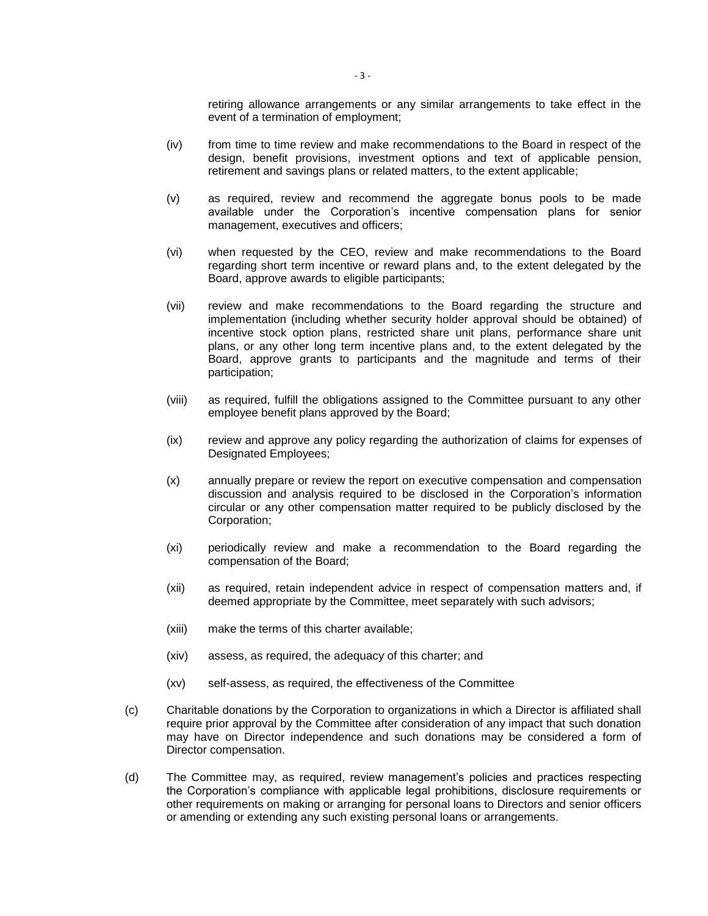retiring allowance arrangements or any similar arrangements to take effect in the event of a termination of employment;

- (iv) from time to time review and make recommendations to the Board in respect of the design, benefit provisions, investment options and text of applicable pension, retirement and savings plans or related matters, to the extent applicable;
- (v) as required, review and recommend the aggregate bonus pools to be made available under the Corporation's incentive compensation plans for senior management, executives and officers;
- (vi) when requested by the CEO, review and make recommendations to the Board regarding short term incentive or reward plans and, to the extent delegated by the Board, approve awards to eligible participants;
- (vii) review and make recommendations to the Board regarding the structure and implementation (including whether security holder approval should be obtained) of incentive stock option plans, restricted share unit plans, performance share unit plans, or any other long term incentive plans and, to the extent delegated by the Board, approve grants to participants and the magnitude and terms of their participation;
- (viii) as required, fulfill the obligations assigned to the Committee pursuant to any other employee benefit plans approved by the Board;
- (ix) review and approve any policy regarding the authorization of claims for expenses of Designated Employees;
- (x) annually prepare or review the report on executive compensation and compensation discussion and analysis required to be disclosed in the Corporation's information circular or any other compensation matter required to be publicly disclosed by the Corporation;
- (xi) periodically review and make a recommendation to the Board regarding the compensation of the Board;
- (xii) as required, retain independent advice in respect of compensation matters and, if deemed appropriate by the Committee, meet separately with such advisors;
- (xiii) make the terms of this charter available;
- (xiv) assess, as required, the adequacy of this charter; and
- (xv) self-assess, as required, the effectiveness of the Committee
- (c) Charitable donations by the Corporation to organizations in which a Director is affiliated shall require prior approval by the Committee after consideration of any impact that such donation may have on Director independence and such donations may be considered a form of Director compensation.
- (d) The Committee may, as required, review management's policies and practices respecting the Corporation's compliance with applicable legal prohibitions, disclosure requirements or other requirements on making or arranging for personal loans to Directors and senior officers or amending or extending any such existing personal loans or arrangements.